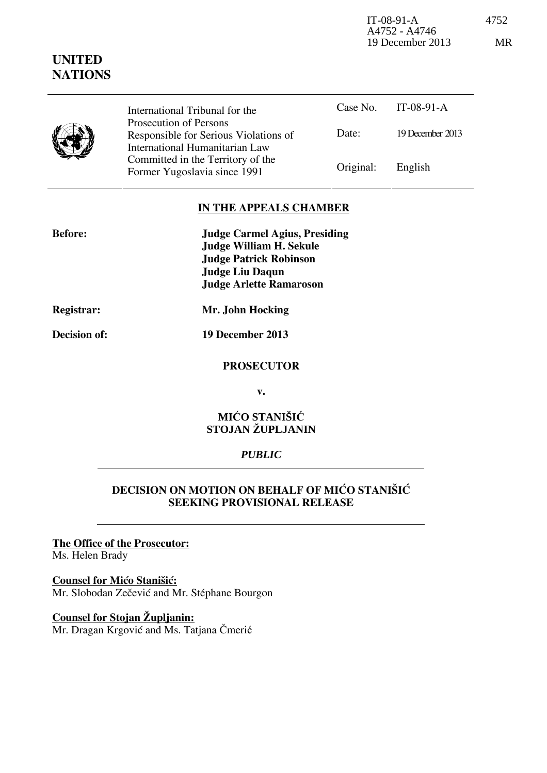IT-08-91-A 4752 A4752 - A4746 19 December 2013 MR

|  | International Tribunal for the<br>Prosecution of Persons                |           | Case No. IT-08-91-A |
|--|-------------------------------------------------------------------------|-----------|---------------------|
|  | Responsible for Serious Violations of<br>International Humanitarian Law | Date:     | 19 December 2013    |
|  | Committed in the Territory of the<br>Former Yugoslavia since 1991       | Original: | English             |

## **IN THE APPEALS CHAMBER**

| <b>Before:</b> | <b>Judge Carmel Agius, Presiding</b> |
|----------------|--------------------------------------|
|                | <b>Judge William H. Sekule</b>       |
|                | <b>Judge Patrick Robinson</b>        |
|                | Judge Liu Daqun                      |
|                | <b>Judge Arlette Ramaroson</b>       |
|                |                                      |

**UNITED NATIONS**

**Registrar: Mr. John Hocking** 

**Decision of: 19 December 2013** 

#### **PROSECUTOR**

**v.** 

### **MIĆO STANIŠIĆ STOJAN ŽUPLJANIN**

## *PUBLIC*

## **DECISION ON MOTION ON BEHALF OF MIĆO STANIŠIĆ SEEKING PROVISIONAL RELEASE**

#### **The Office of the Prosecutor:**

Ms. Helen Brady

#### **Counsel for Mico Stanišic:**

Mr. Slobodan Zečević and Mr. Stéphane Bourgon

# **Counsel for Stojan Župljanin:**

Mr. Dragan Krgović and Ms. Tatjana Čmerić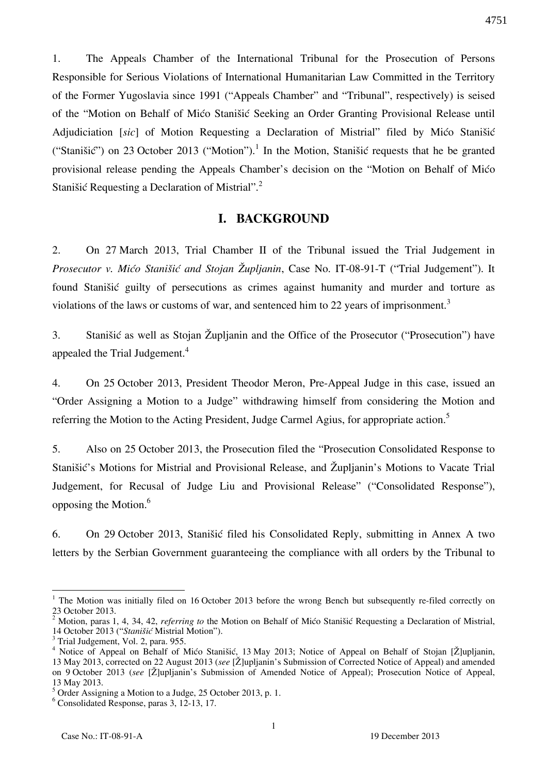1. The Appeals Chamber of the International Tribunal for the Prosecution of Persons Responsible for Serious Violations of International Humanitarian Law Committed in the Territory of the Former Yugoslavia since 1991 ("Appeals Chamber" and "Tribunal", respectively) is seised of the "Motion on Behalf of Mićo Stanišić Seeking an Order Granting Provisional Release until Adjudiciation [sic] of Motion Requesting a Declaration of Mistrial" filed by Mićo Stanišić ("Stanišić") on 23 October 2013 ("Motion").<sup>1</sup> In the Motion, Stanišić requests that he be granted provisional release pending the Appeals Chamber's decision on the "Motion on Behalf of Mićo Stanišić Requesting a Declaration of Mistrial".<sup>2</sup>

#### **I. BACKGROUND**

2. On 27 March 2013, Trial Chamber II of the Tribunal issued the Trial Judgement in *Prosecutor v. Mićo Stanišić and Stojan Župljanin*, Case No. IT-08-91-T ("Trial Judgement"). It found Stanišić guilty of persecutions as crimes against humanity and murder and torture as violations of the laws or customs of war, and sentenced him to 22 years of imprisonment.<sup>3</sup>

3. Stanišić as well as Stojan Župljanin and the Office of the Prosecutor ("Prosecution") have appealed the Trial Judgement.<sup>4</sup>

4. On 25 October 2013, President Theodor Meron, Pre-Appeal Judge in this case, issued an "Order Assigning a Motion to a Judge" withdrawing himself from considering the Motion and referring the Motion to the Acting President, Judge Carmel Agius, for appropriate action.<sup>5</sup>

5. Also on 25 October 2013, the Prosecution filed the "Prosecution Consolidated Response to Stanišić's Motions for Mistrial and Provisional Release, and Župljanin's Motions to Vacate Trial Judgement, for Recusal of Judge Liu and Provisional Release" ("Consolidated Response"), opposing the Motion.<sup>6</sup>

6. On 29 October 2013, Stanišić filed his Consolidated Reply, submitting in Annex A two letters by the Serbian Government guaranteeing the compliance with all orders by the Tribunal to

 $\overline{a}$ 

<sup>&</sup>lt;sup>1</sup> The Motion was initially filed on 16 October 2013 before the wrong Bench but subsequently re-filed correctly on 23 October 2013.

<sup>&</sup>lt;sup>2</sup> Motion, paras 1, 4, 34, 42, *referring to* the Motion on Behalf of Mićo Stanišić Requesting a Declaration of Mistrial, 14 October 2013 ("Stanišić Mistrial Motion").

<sup>&</sup>lt;sup>3</sup> Trial Judgement, Vol. 2, para. 955.

<sup>&</sup>lt;sup>4</sup> Notice of Appeal on Behalf of Mićo Stanišić, 13 May 2013; Notice of Appeal on Behalf of Stojan [Ž]upljanin, 13 May 2013, corrected on 22 August 2013 (*see* ₣Žğupljanin's Submission of Corrected Notice of Appeal) and amended on 9 October 2013 (*see* [Ž]upljanin's Submission of Amended Notice of Appeal); Prosecution Notice of Appeal, 13 May 2013.

<sup>&</sup>lt;sup>5</sup> Order Assigning a Motion to a Judge, 25 October 2013, p. 1.

<sup>6</sup> Consolidated Response, paras 3, 12-13, 17.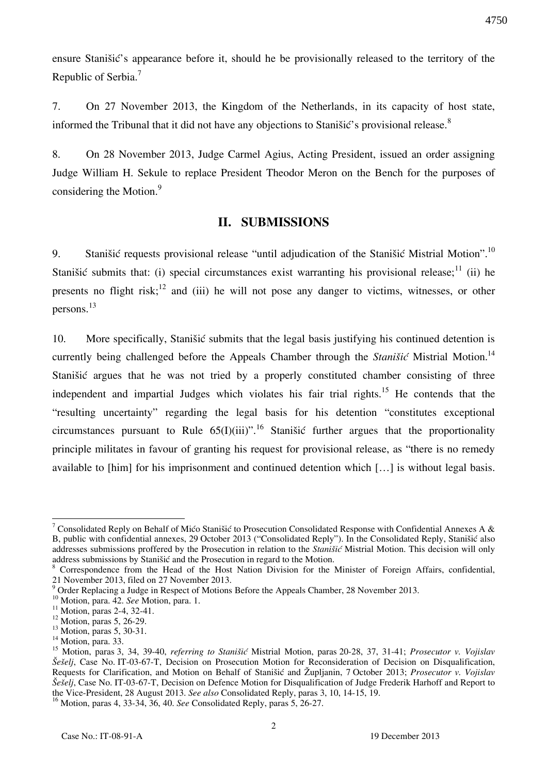ensure Stanišić's appearance before it, should he be provisionally released to the territory of the Republic of Serbia.<sup>7</sup>

7. On 27 November 2013, the Kingdom of the Netherlands, in its capacity of host state, informed the Tribunal that it did not have any objections to Stanišić's provisional release.<sup>8</sup>

8. On 28 November 2013, Judge Carmel Agius, Acting President, issued an order assigning Judge William H. Sekule to replace President Theodor Meron on the Bench for the purposes of considering the Motion.<sup>9</sup>

## **II. SUBMISSIONS**

9. Stanišić requests provisional release "until adjudication of the Stanišić Mistrial Motion".<sup>10</sup> Stanišić submits that: (i) special circumstances exist warranting his provisional release;  $\frac{1}{1}$  (ii) he presents no flight risk;<sup>12</sup> and (iii) he will not pose any danger to victims, witnesses, or other persons. 13

10. More specifically, Stanišić submits that the legal basis justifying his continued detention is currently being challenged before the Appeals Chamber through the *Stanišić* Mistrial Motion.<sup>14</sup> Stanišić argues that he was not tried by a properly constituted chamber consisting of three independent and impartial Judges which violates his fair trial rights.<sup>15</sup> He contends that the "resulting uncertainty" regarding the legal basis for his detention "constitutes exceptional circumstances pursuant to Rule  $65(I)(iii)$ ".<sup>16</sup> Stanišić further argues that the proportionality principle militates in favour of granting his request for provisional release, as "there is no remedy available to [him] for his imprisonment and continued detention which [...] is without legal basis.

 $\overline{a}$ <sup>7</sup> Consolidated Reply on Behalf of Mićo Stanišić to Prosecution Consolidated Response with Confidential Annexes A & B, public with confidential annexes, 29 October 2013 ("Consolidated Reply"). In the Consolidated Reply, Stanišić also addresses submissions proffered by the Prosecution in relation to the *Stanišić* Mistrial Motion. This decision will only address submissions by Stanišić and the Prosecution in regard to the Motion.

<sup>8</sup> Correspondence from the Head of the Host Nation Division for the Minister of Foreign Affairs, confidential, 21 November 2013, filed on 27 November 2013.

 $9$  Order Replacing a Judge in Respect of Motions Before the Appeals Chamber, 28 November 2013.

<sup>10</sup> Motion, para. 42. *See* Motion, para. 1.

 $11$  Motion, paras 2-4, 32-41.

 $12$  Motion, paras 5, 26-29.

<sup>&</sup>lt;sup>13</sup> Motion, paras 5, 30-31.

 $14$  Motion, para. 33.

<sup>15</sup> Motion, paras 3, 34, 39-40, *referring to Stanišić* Mistrial Motion, paras 20-28, 37, 31-41; *Prosecutor v. Vojislav [e{elj*, Case No. IT-03-67-T, Decision on Prosecution Motion for Reconsideration of Decision on Disqualification, Requests for Clarification, and Motion on Behalf of Stanišić and Župljanin, 7 October 2013; *Prosecutor v. Vojislav Šešelj*, Case No. IT-03-67-T, Decision on Defence Motion for Disqualification of Judge Frederik Harhoff and Report to the Vice-President, 28 August 2013. *See also* Consolidated Reply, paras 3, 10, 14-15, 19.

<sup>16</sup> Motion, paras 4, 33-34, 36, 40. *See* Consolidated Reply, paras 5, 26-27.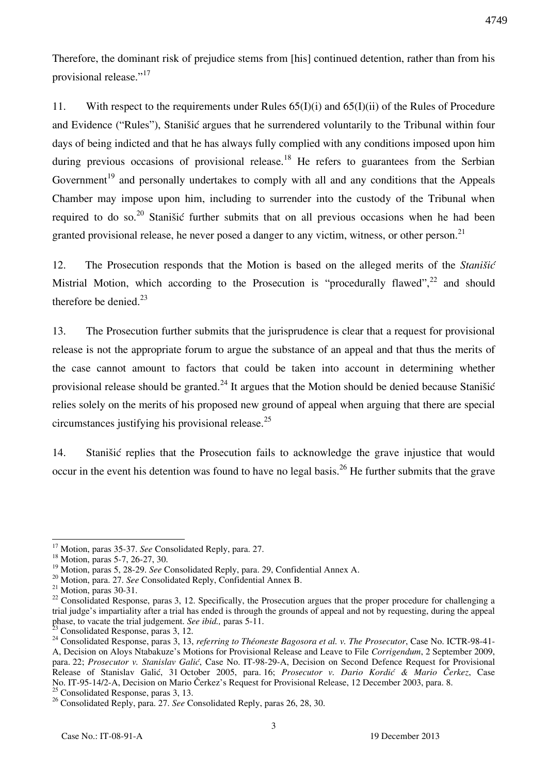Therefore, the dominant risk of prejudice stems from [his] continued detention, rather than from his

4749

provisional release."<sup>17</sup>

11. With respect to the requirements under Rules 65(I)(i) and 65(I)(ii) of the Rules of Procedure and Evidence ("Rules"), Stanišić argues that he surrendered voluntarily to the Tribunal within four days of being indicted and that he has always fully complied with any conditions imposed upon him during previous occasions of provisional release.<sup>18</sup> He refers to guarantees from the Serbian Government<sup>19</sup> and personally undertakes to comply with all and any conditions that the Appeals Chamber may impose upon him, including to surrender into the custody of the Tribunal when required to do so.<sup>20</sup> Stanišić further submits that on all previous occasions when he had been granted provisional release, he never posed a danger to any victim, witness, or other person.<sup>21</sup>

12. The Prosecution responds that the Motion is based on the alleged merits of the *Stanišić* Mistrial Motion, which according to the Prosecution is "procedurally flawed",  $^{22}$  and should therefore be denied. $23$ 

13. The Prosecution further submits that the jurisprudence is clear that a request for provisional release is not the appropriate forum to argue the substance of an appeal and that thus the merits of the case cannot amount to factors that could be taken into account in determining whether provisional release should be granted.<sup>24</sup> It argues that the Motion should be denied because Stanišić relies solely on the merits of his proposed new ground of appeal when arguing that there are special circumstances justifying his provisional release. $25$ 

14. Stanišić replies that the Prosecution fails to acknowledge the grave injustice that would occur in the event his detention was found to have no legal basis.<sup>26</sup> He further submits that the grave

 $\overline{a}$ <sup>17</sup> Motion, paras 35-37. *See* Consolidated Reply, para. 27.

<sup>18</sup> Motion, paras 5-7, 26-27, 30.

<sup>19</sup> Motion, paras 5, 28-29. *See* Consolidated Reply, para. 29, Confidential Annex A.

<sup>20</sup> Motion, para. 27. *See* Consolidated Reply, Confidential Annex B.

 $21$  Motion, paras 30-31.

<sup>&</sup>lt;sup>22</sup> Consolidated Response, paras 3, 12. Specifically, the Prosecution argues that the proper procedure for challenging a trial judge's impartiality after a trial has ended is through the grounds of appeal and not by requesting, during the appeal phase, to vacate the trial judgement. *See ibid.,* paras 5-11.

Consolidated Response, paras 3, 12.

<sup>24</sup> Consolidated Response, paras 3, 13, *referring to Théoneste Bagosora et al. v. The Prosecutor*, Case No. ICTR-98-41- A, Decision on Aloys Ntabakuze's Motions for Provisional Release and Leave to File *Corrigendum*, 2 September 2009, para. 22; *Prosecutor v. Stanislav Galić*, Case No. IT-98-29-A, Decision on Second Defence Request for Provisional Release of Stanislav Gali}, 31 October 2005, para. 16; *Prosecutor v. Dario Kordić & Mario Čerkez*, Case No. IT-95-14/2-A, Decision on Mario Čerkez's Request for Provisional Release, 12 December 2003, para. 8. <sup>25</sup> Consolidated Response, paras 3, 13.

<sup>26</sup> Consolidated Reply, para. 27. *See* Consolidated Reply, paras 26, 28, 30.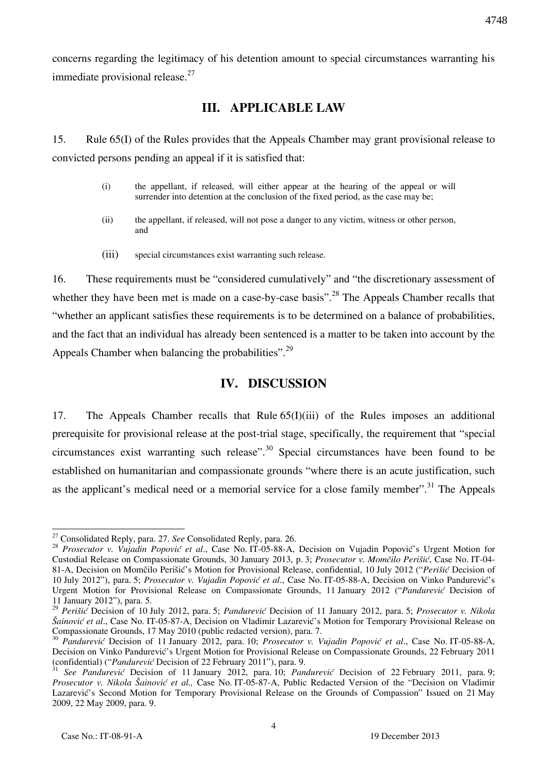concerns regarding the legitimacy of his detention amount to special circumstances warranting his immediate provisional release.<sup>27</sup>

## **III. APPLICABLE LAW**

15. Rule 65(I) of the Rules provides that the Appeals Chamber may grant provisional release to convicted persons pending an appeal if it is satisfied that:

- (i) the appellant, if released, will either appear at the hearing of the appeal or will surrender into detention at the conclusion of the fixed period, as the case may be;
- (ii) the appellant, if released, will not pose a danger to any victim, witness or other person, and
- (iii) special circumstances exist warranting such release.

16. These requirements must be "considered cumulatively" and "the discretionary assessment of whether they have been met is made on a case-by-case basis".<sup>28</sup> The Appeals Chamber recalls that "whether an applicant satisfies these requirements is to be determined on a balance of probabilities, and the fact that an individual has already been sentenced is a matter to be taken into account by the Appeals Chamber when balancing the probabilities".<sup>29</sup>

# **IV. DISCUSSION**

17. The Appeals Chamber recalls that Rule 65(I)(iii) of the Rules imposes an additional prerequisite for provisional release at the post-trial stage, specifically, the requirement that "special circumstances exist warranting such release".<sup>30</sup> Special circumstances have been found to be established on humanitarian and compassionate grounds "where there is an acute justification, such as the applicant's medical need or a memorial service for a close family member".<sup>31</sup> The Appeals

 $\overline{a}$ <sup>27</sup> Consolidated Reply, para. 27. *See* Consolidated Reply, para. 26.

<sup>28</sup> *Prosecutor v. Vujadin Popović et al*., Case No. IT-05-88-A, Decision on Vujadin Popović's Urgent Motion for Custodial Release on Compassionate Grounds, 30 January 2013, p. 3; *Prosecutor v. Momčilo Perišić*, Case No. IT-04- 81-A, Decision on Momčilo Perišić's Motion for Provisional Release, confidential, 10 July 2012 ("*Perišić* Decision of 10 July 2012"), para. 5; *Prosecutor v. Vujadin Popović et al*., Case No. IT-05-88-A, Decision on Vinko Pandurević's Urgent Motion for Provisional Release on Compassionate Grounds, 11 January 2012 ("*Pandurević* Decision of 11 January 2012"), para. 5.

<sup>29</sup> *Perišić* Decision of 10 July 2012, para. 5; *Pandurević* Decision of 11 January 2012, para. 5; *Prosecutor v. Nikola Šainović et al*., Case No. IT-05-87-A, Decision on Vladimir Lazarević's Motion for Temporary Provisional Release on Compassionate Grounds, 17 May 2010 (public redacted version), para. 7.

<sup>30</sup> *Pandurević* Decision of 11 January 2012, para. 10; *Prosecutor v. Vujadin Popović et al*., Case No. IT-05-88-A, Decision on Vinko Pandurević's Urgent Motion for Provisional Release on Compassionate Grounds, 22 February 2011 (confidential) ("*Pandurević* Decision of 22 February 2011"), para. 9.

<sup>31</sup> *See Pandurević* Decision of 11 January 2012, para. 10; *Pandurević* Decision of 22 February 2011, para. 9; *Prosecutor v. Nikola [ainović et al.,* Case No. IT-05-87-A, Public Redacted Version of the "Decision on Vladimir Lazarević's Second Motion for Temporary Provisional Release on the Grounds of Compassion" Issued on 21 May 2009, 22 May 2009, para. 9.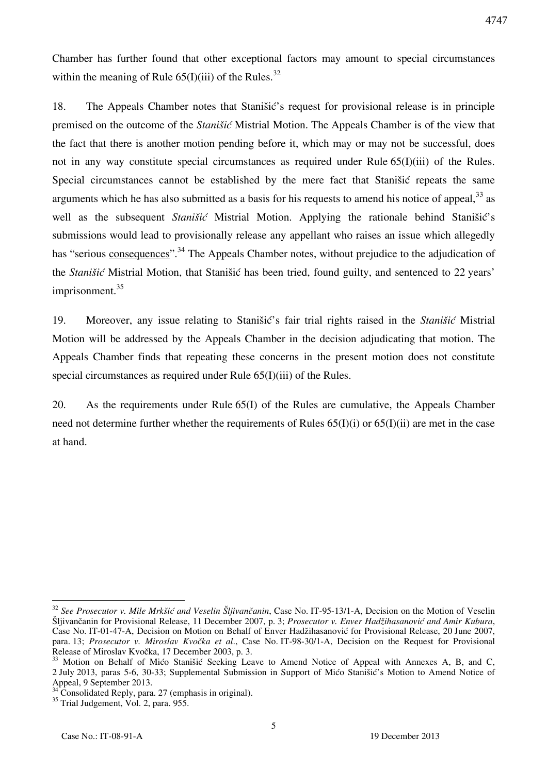Chamber has further found that other exceptional factors may amount to special circumstances within the meaning of Rule  $65(I)(iii)$  of the Rules.<sup>32</sup>

18. The Appeals Chamber notes that Stanišić's request for provisional release is in principle premised on the outcome of the *Stanišić* Mistrial Motion. The Appeals Chamber is of the view that the fact that there is another motion pending before it, which may or may not be successful, does not in any way constitute special circumstances as required under Rule  $65(I)(iii)$  of the Rules. Special circumstances cannot be established by the mere fact that Stanišić repeats the same arguments which he has also submitted as a basis for his requests to amend his notice of appeal.<sup>33</sup> as well as the subsequent *Stanišić* Mistrial Motion. Applying the rationale behind Stanišić's submissions would lead to provisionally release any appellant who raises an issue which allegedly has "serious consequences".<sup>34</sup> The Appeals Chamber notes, without prejudice to the adjudication of the *Stanišić* Mistrial Motion, that Stanišić has been tried, found guilty, and sentenced to 22 years' imprisonment.<sup>35</sup>

19. Moreover, any issue relating to Stanišić's fair trial rights raised in the *Stanišić* Mistrial Motion will be addressed by the Appeals Chamber in the decision adjudicating that motion. The Appeals Chamber finds that repeating these concerns in the present motion does not constitute special circumstances as required under Rule 65(I)(iii) of the Rules.

20. As the requirements under Rule 65(I) of the Rules are cumulative, the Appeals Chamber need not determine further whether the requirements of Rules  $65(I)(i)$  or  $65(I)(ii)$  are met in the case at hand.

 $\overline{a}$ 

<sup>&</sup>lt;sup>32</sup> See Prosecutor v. Mile Mrkšić and Veselin Šljivančanin, Case No. IT-95-13/1-A, Decision on the Motion of Veselin [ljivančanin for Provisional Release, 11 December 2007, p. 3; *Prosecutor v. Enver Hadžihasanovi} and Amir Kubura*, Case No. IT-01-47-A, Decision on Motion on Behalf of Enver Hadžihasanović for Provisional Release, 20 June 2007, para. 13; *Prosecutor v. Miroslav Kvočka et al*., Case No. IT-98-30/1-A, Decision on the Request for Provisional Release of Miroslav Kvočka, 17 December 2003, p. 3.

<sup>&</sup>lt;sup>33</sup> Motion on Behalf of Mićo Stanišić Seeking Leave to Amend Notice of Appeal with Annexes A, B, and C, 2 July 2013, paras 5-6, 30-33; Supplemental Submission in Support of Mićo Stanišić's Motion to Amend Notice of Appeal, 9 September 2013.

 $34$ <sup>24</sup> Consolidated Reply, para. 27 (emphasis in original).

<sup>&</sup>lt;sup>35</sup> Trial Judgement, Vol. 2, para. 955.